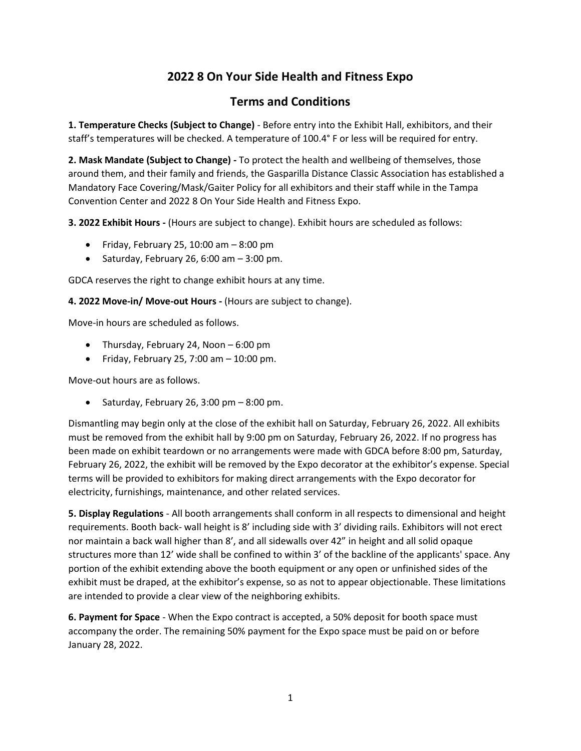## **2022 8 On Your Side Health and Fitness Expo**

## **Terms and Conditions**

**1. Temperature Checks (Subject to Change)** - Before entry into the Exhibit Hall, exhibitors, and their staff's temperatures will be checked. A temperature of 100.4° F or less will be required for entry.

**2. Mask Mandate (Subject to Change) -** To protect the health and wellbeing of themselves, those around them, and their family and friends, the Gasparilla Distance Classic Association has established a Mandatory Face Covering/Mask/Gaiter Policy for all exhibitors and their staff while in the Tampa Convention Center and 2022 8 On Your Side Health and Fitness Expo.

**3. 2022 Exhibit Hours -** (Hours are subject to change). Exhibit hours are scheduled as follows:

- Friday, February 25, 10:00 am 8:00 pm
- Saturday, February 26, 6:00 am  $-$  3:00 pm.

GDCA reserves the right to change exhibit hours at any time.

**4. 2022 Move-in/ Move-out Hours -** (Hours are subject to change).

Move-in hours are scheduled as follows.

- Thursday, February 24, Noon 6:00 pm
- Friday, February 25, 7:00 am  $-$  10:00 pm.

Move-out hours are as follows.

• Saturday, February 26, 3:00 pm  $-8:00$  pm.

Dismantling may begin only at the close of the exhibit hall on Saturday, February 26, 2022. All exhibits must be removed from the exhibit hall by 9:00 pm on Saturday, February 26, 2022. If no progress has been made on exhibit teardown or no arrangements were made with GDCA before 8:00 pm, Saturday, February 26, 2022, the exhibit will be removed by the Expo decorator at the exhibitor's expense. Special terms will be provided to exhibitors for making direct arrangements with the Expo decorator for electricity, furnishings, maintenance, and other related services.

**5. Display Regulations** - All booth arrangements shall conform in all respects to dimensional and height requirements. Booth back- wall height is 8' including side with 3' dividing rails. Exhibitors will not erect nor maintain a back wall higher than 8', and all sidewalls over 42" in height and all solid opaque structures more than 12' wide shall be confined to within 3' of the backline of the applicants' space. Any portion of the exhibit extending above the booth equipment or any open or unfinished sides of the exhibit must be draped, at the exhibitor's expense, so as not to appear objectionable. These limitations are intended to provide a clear view of the neighboring exhibits.

**6. Payment for Space** - When the Expo contract is accepted, a 50% deposit for booth space must accompany the order. The remaining 50% payment for the Expo space must be paid on or before January 28, 2022.